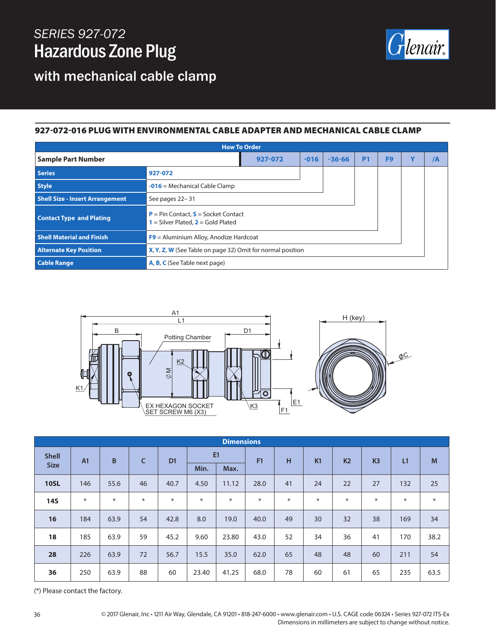## *SERIES 927-072* Hazardous Zone Plug



with mechanical cable clamp

## 927-072-016 PLUG WITH ENVIRONMENTAL CABLE ADAPTER AND MECHANICAL CABLE CLAMP

| <b>How To Order</b>                    |                                                                                             |        |            |           |                |   |    |  |
|----------------------------------------|---------------------------------------------------------------------------------------------|--------|------------|-----------|----------------|---|----|--|
| <b>Sample Part Number</b>              | 927-072                                                                                     | $-016$ | $-36 - 66$ | <b>P1</b> | F <sub>9</sub> | Y | /A |  |
| <b>Series</b>                          | 927-072                                                                                     |        |            |           |                |   |    |  |
| <b>Style</b>                           | $-016$ = Mechanical Cable Clamp                                                             |        |            |           |                |   |    |  |
| <b>Shell Size - Insert Arrangement</b> | See pages 22-31                                                                             |        |            |           |                |   |    |  |
| <b>Contact Type and Plating</b>        | <b>P</b> = Pin Contact, $S$ = Socket Contact<br><b>1</b> = Silver Plated, $2$ = Gold Plated |        |            |           |                |   |    |  |
| <b>Shell Material and Finish</b>       | $F9$ = Aluminium Alloy, Anodize Hardcoat                                                    |        |            |           |                |   |    |  |
| <b>Alternate Key Position</b>          | X, Y, Z, W (See Table on page 32) Omit for normal position                                  |        |            |           |                |   |    |  |
| <b>Cable Range</b>                     | A, B, C (See Table next page)                                                               |        |            |           |                |   |    |  |



| <b>Dimensions</b> |                |        |              |                |       |        |        |     |    |                |                |        |        |  |  |  |
|-------------------|----------------|--------|--------------|----------------|-------|--------|--------|-----|----|----------------|----------------|--------|--------|--|--|--|
| <b>Shell</b>      | A <sub>1</sub> | B      | $\mathsf{C}$ | D <sub>1</sub> | E1    |        | F1     | H   | K1 | K <sub>2</sub> | K <sub>3</sub> | L1     | M      |  |  |  |
| <b>Size</b>       |                |        |              |                | Min.  | Max.   |        |     |    |                |                |        |        |  |  |  |
| <b>10SL</b>       | 146            | 55.6   | 46           | 40.7           | 4.50  | 11.12  | 28.0   | 41  | 24 | 22             | 27             | 132    | 25     |  |  |  |
| <b>14S</b>        | $\ast$         | $\ast$ | ∗            | $*$            | $*$   | $\ast$ | $\ast$ | $*$ | ∗  | $\ast$         | $\ast$         | $\ast$ | $\ast$ |  |  |  |
| 16                | 184            | 63.9   | 54           | 42.8           | 8.0   | 19.0   | 40.0   | 49  | 30 | 32             | 38             | 169    | 34     |  |  |  |
| 18                | 185            | 63.9   | 59           | 45.2           | 9.60  | 23.80  | 43.0   | 52  | 34 | 36             | 41             | 170    | 38.2   |  |  |  |
| 28                | 226            | 63.9   | 72           | 56.7           | 15.5  | 35.0   | 62.0   | 65  | 48 | 48             | 60             | 211    | 54     |  |  |  |
| 36                | 250            | 63.9   | 88           | 60             | 23.40 | 41.25  | 68.0   | 78  | 60 | 61             | 65             | 235    | 63.5   |  |  |  |

(\*) Please contact the factory.